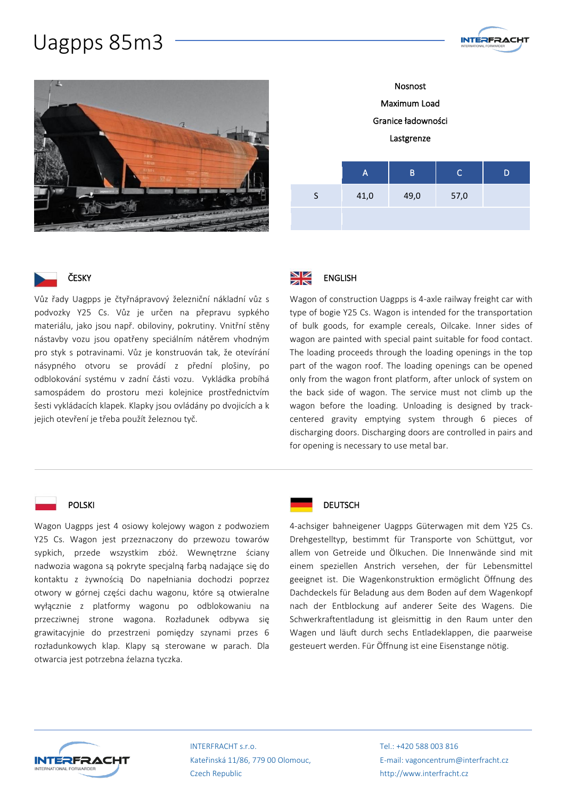## Uagpps 85m3





**INTERFRACHT** 



#### ČESKY

Vůz řady Uagpps je čtyřnápravový železniční nákladní vůz s podvozky Y25 Cs. Vůz je určen na přepravu sypkého materiálu, jako jsou např. obiloviny, pokrutiny. Vnitřní stěny nástavby vozu jsou opatřeny speciálním nátěrem vhodným pro styk s potravinami. Vůz je konstruován tak, že otevírání násypného otvoru se provádí z přední plošiny, po odblokování systému v zadní části vozu. Vykládka probíhá samospádem do prostoru mezi kolejnice prostřednictvím šesti vykládacích klapek. Klapky jsou ovládány po dvojicích a k jejich otevření je třeba použít železnou tyč.



Wagon of construction Uagpps is 4-axle railway freight car with type of bogie Y25 Cs. Wagon is intended for the transportation of bulk goods, for example cereals, Oilcake. Inner sides of wagon are painted with special paint suitable for food contact. The loading proceeds through the loading openings in the top part of the wagon roof. The loading openings can be opened only from the wagon front platform, after unlock of system on the back side of wagon. The service must not climb up the wagon before the loading. Unloading is designed by trackcentered gravity emptying system through 6 pieces of discharging doors. Discharging doors are controlled in pairs and for opening is necessary to use metal bar.

#### POLSKI

Wagon Uagpps jest 4 osiowy kolejowy wagon z podwoziem Y25 Cs. Wagon jest przeznaczony do przewozu towarów sypkich, przede wszystkim zbóż. Wewnętrzne ściany nadwozia wagona są pokryte specjalną farbą nadające się do kontaktu z żywnością Do napełniania dochodzi poprzez otwory w górnej części dachu wagonu, które są otwieralne wyłącznie z platformy wagonu po odblokowaniu na przecziwnej strone wagona. Rozładunek odbywa się grawitacyjnie do przestrzeni pomiędzy szynami przes 6 rozładunkowych klap. Klapy są sterowane w parach. Dla otwarcia jest potrzebna źelazna tyczka.



#### **DEUTSCH**

4-achsiger bahneigener Uagpps Güterwagen mit dem Y25 Cs. Drehgestelltyp, bestimmt für Transporte von Schüttgut, vor allem von Getreide und Ölkuchen. Die Innenwände sind mit einem speziellen Anstrich versehen, der für Lebensmittel geeignet ist. Die Wagenkonstruktion ermöglicht Öffnung des Dachdeckels für Beladung aus dem Boden auf dem Wagenkopf nach der Entblockung auf anderer Seite des Wagens. Die Schwerkraftentladung ist gleismittig in den Raum unter den Wagen und läuft durch sechs Entladeklappen, die paarweise gesteuert werden. Für Öffnung ist eine Eisenstange nötig.



INTERFRACHT s.r.o. Kateřinská 11/86, 779 00 Olomouc, Czech Republic

Tel.: +420 588 003 816 E-mail: vagoncentrum@interfracht.cz http://www.interfracht.cz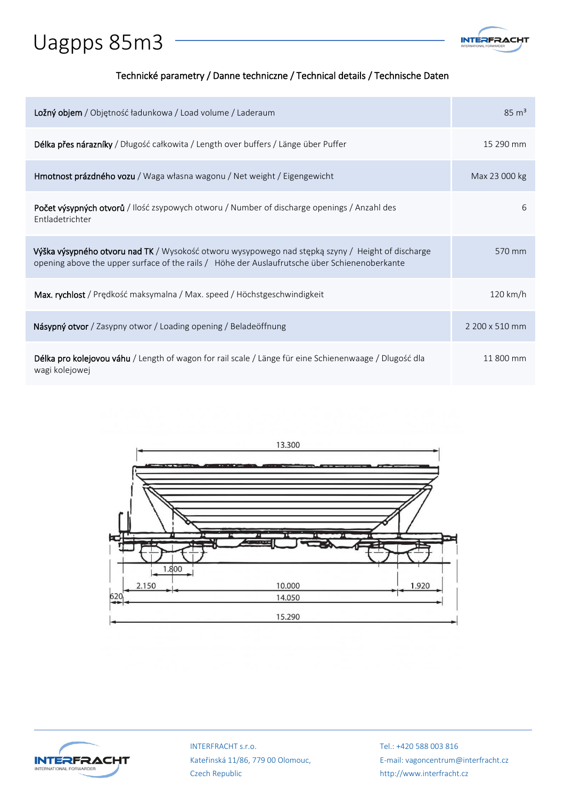# Uagpps 85m3



### Technické parametry / Danne techniczne / Technical details / Technische Daten

| Ložný objem / Objętność ładunkowa / Load volume / Laderaum                                                                                                                                         | $85 \text{ m}^3$   |
|----------------------------------------------------------------------------------------------------------------------------------------------------------------------------------------------------|--------------------|
| Délka přes nárazníky / Długość całkowita / Length over buffers / Länge über Puffer                                                                                                                 | 15 290 mm          |
| <b>Hmotnost prázdného vozu</b> / Waga własna wagonu / Net weight / Eigengewicht                                                                                                                    | Max 23 000 kg      |
| <b>Počet výsypných otvorů</b> / Ilość zsypowych otworu / Number of discharge openings / Anzahl des<br>Entladetrichter                                                                              | 6                  |
| Výška výsypného otvoru nad TK / Wysokość otworu wysypowego nad stępką szyny / Height of discharge<br>opening above the upper surface of the rails / Höhe der Auslaufrutsche über Schienenoberkante | 570 mm             |
| Max. rychlost / Prędkość maksymalna / Max. speed / Höchstgeschwindigkeit                                                                                                                           | $120 \text{ km/h}$ |
| Násypný otvor / Zasypny otwor / Loading opening / Beladeöffnung                                                                                                                                    | 2 200 x 510 mm     |
| <b>Délka pro kolejovou váhu</b> / Length of wagon for rail scale / Länge für eine Schienenwaage / Dlugość dla<br>wagi kolejowej                                                                    | 11 800 mm          |





INTERFRACHT s.r.o. Kateřinská 11/86, 779 00 Olomouc, Czech Republic

Tel.: +420 588 003 816 E-mail: vagoncentrum@interfracht.cz http://www.interfracht.cz